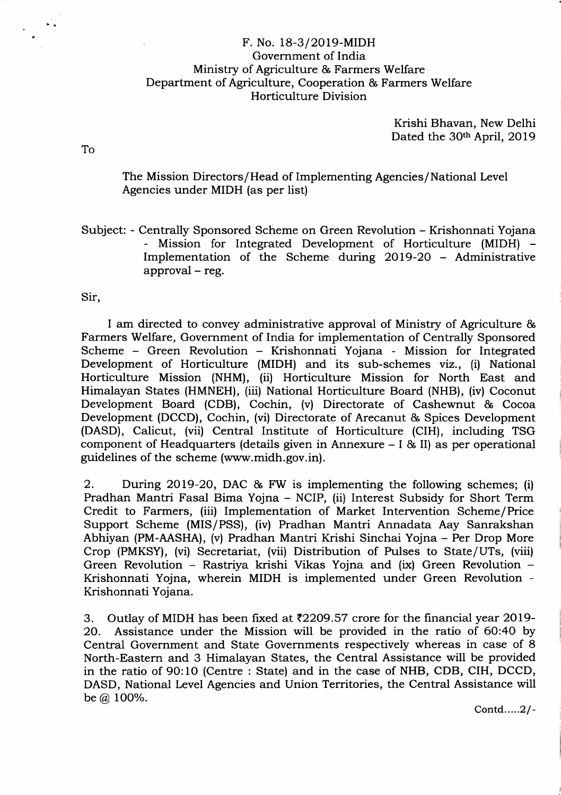## F. No. 18-3/20l9-MIDH Government of India Ministry of Agriculture & Farmers Welfare Department of Agriculture, Cooperation & Farmers Welfare Horticulture Division

Krishi Bhavan, New Delhi Dated the 30<sup>th</sup> April, 2019

To

The Mission Directors / Head of Implementing Agencies/National level Agencies under MIDH (as per list)

Subject: - Centrally Sponsored Scheme on Green Revolution - Krishonnati Yojana - Mission for Integrated Development of Horticulture (MIDH) - Implementation of the Scheme during 2OL9-2O - Administrative approval - reg.

Sir,

I am directed to convey administrative approval of Ministry of Agriculture & Farmers Welfare, Government of India for implementation of Centrally Sponsored Scheme - Green Revolution - Krishonnati Yojana - Mission for Integrated Development of Horticulture (MIDH) and its sub-schemes viz., (i) National Horticulture Mission (NHM), (ii) Horticulture Mission for North East and Himalayan States (HMNEH), (iii) National Horticulture Board (NHB), (iv) Coconut Development Board (CDB), Cochin, (v) Directorate of Cashewnut & Cocoa Development (DCCD), Cochin, (vi) Directorate of Arecanut & Spices Development (DASD), Calicut, (vii) Central Institute of Horticulture (CIH), including TSG component of Headquarters (details given in Annexure - I & il) as per operational guidelines of the scheme (www.midh.gov.in).

2. During 2O19-2O, DAC & FW is implementing the following schemes; (i) Pradhan Mantri Fasal Bima Yojna - NCIP, (ii) Interest Subsidy for Short Term Credit to Farmers, (iii) Implementation of Market Intervention Scheme/Price Support Scheme (MIS/PSS), (iv) Pradhan Mantri Annadata Aay Sanrakshan Abhiyan (PM-AASHA), (v) Pradhan Mantri Krishi Sinchai Yojna - Per Drop More Crop (PMKSY), (vi) Secretariat, (vii) Distribution of Pulses to State/UTs, (viii) Green Revolution - Rastriya krishi Vikas Yojna and (ix) Green Revolution - Krishonnati Yojna, wherein MIDH is implemented under Green Revolution - Krishonnati Yojana.

3. Outlay of MIDH has been fixed at  $\overline{2}209.57$  crore for the financial year 2019-<br>20. Assistance under the Mission will be provided in the ratio of 60:40 by Assistance under the Mission will be provided in the ratio of 60:40 by Central Government and State Governments respectively whereas in case of 8 North-Eastern and 3 Himalayan States, the Central Assistance will be provided in the ratio of 90:1O (Centre: State) and in the case of NHB, CDB, CIH, DCCD, DASD, National Level Agencies and Union Territories, the Central Assistance will be  $@.100\%$ .

Contd.... $2/-$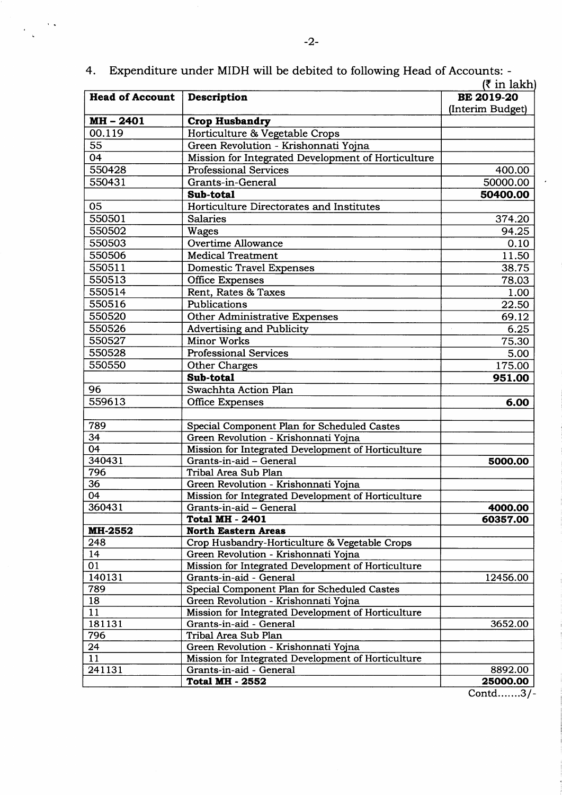|                        | k in lakn                                          |                   |  |
|------------------------|----------------------------------------------------|-------------------|--|
| <b>Head of Account</b> | Description                                        | <b>BE 2019-20</b> |  |
| MH-2401                | <b>Crop Husbandry</b>                              | (Interim Budget)  |  |
| 00.119                 | Horticulture & Vegetable Crops                     |                   |  |
| 55                     | Green Revolution - Krishonnati Yojna               |                   |  |
| $\overline{04}$        | Mission for Integrated Development of Horticulture |                   |  |
| 550428                 | <b>Professional Services</b>                       | 400.00            |  |
| 550431                 | Grants-in-General                                  | 50000.00          |  |
|                        | Sub-total                                          | 50400.00          |  |
| 05                     | Horticulture Directorates and Institutes           |                   |  |
| 550501                 | <b>Salaries</b>                                    |                   |  |
|                        |                                                    | 374.20            |  |
| 550502                 | <b>Wages</b>                                       | 94.25             |  |
| 550503                 | Overtime Allowance                                 | 0.10              |  |
| 550506                 | <b>Medical Treatment</b>                           | 11.50             |  |
| 550511                 | <b>Domestic Travel Expenses</b>                    | 38.75             |  |
| 550513                 | <b>Office Expenses</b>                             | 78.03             |  |
| 550514                 | Rent, Rates & Taxes                                | 1.00              |  |
| 550516                 | Publications                                       | 22.50             |  |
| 550520                 | <b>Other Administrative Expenses</b>               | 69.12             |  |
| 550526                 | <b>Advertising and Publicity</b>                   | 6.25              |  |
| 550527                 | <b>Minor Works</b>                                 | 75.30             |  |
| 550528                 | <b>Professional Services</b>                       | 5.00              |  |
| 550550                 | Other Charges                                      | 175.00            |  |
|                        | Sub-total                                          | 951.00            |  |
| 96                     | Swachhta Action Plan                               |                   |  |
| 559613                 | <b>Office Expenses</b>                             | 6.00              |  |
| 789                    | Special Component Plan for Scheduled Castes        |                   |  |
| 34                     | Green Revolution - Krishonnati Yojna               |                   |  |
| 04                     | Mission for Integrated Development of Horticulture |                   |  |
| 340431                 | Grants-in-aid - General                            | 5000.00           |  |
| 796                    | Tribal Area Sub Plan                               |                   |  |
| 36                     | Green Revolution - Krishonnati Yojna               |                   |  |
| $\overline{04}$        | Mission for Integrated Development of Horticulture |                   |  |
| 360431                 | Grants-in-aid - General                            | 4000.00           |  |
|                        | <b>Total MH - 2401</b>                             | 60357.00          |  |
| <b>MH-2552</b>         | <b>North Eastern Areas</b>                         |                   |  |
| 248                    | Crop Husbandry-Horticulture & Vegetable Crops      |                   |  |
| 14                     | Green Revolution - Krishonnati Yojna               |                   |  |
| 01                     | Mission for Integrated Development of Horticulture |                   |  |
| 140131                 | Grants-in-aid - General                            | 12456.00          |  |
| 789                    | Special Component Plan for Scheduled Castes        |                   |  |
| 18                     | Green Revolution - Krishonnati Yojna               |                   |  |
| 11                     | Mission for Integrated Development of Horticulture |                   |  |
| 181131                 | Grants-in-aid - General                            | 3652.00           |  |
| 796                    | Tribal Area Sub Plan                               |                   |  |
| 24                     | Green Revolution - Krishonnati Yojna               |                   |  |
| 11                     | Mission for Integrated Development of Horticulture |                   |  |
| 241131                 | Grants-in-aid - General                            | 8892.00           |  |
|                        | <b>Total MH - 2552</b>                             | 25000.00          |  |

4. Expenditure under MIDH will be debited to following Head of Accounts: -

 $\epsilon$  .

 $\frac{1}{2}$  .

 $\overline{\text{Control......3/-}}$ 

 $\hat{\boldsymbol{\epsilon}}$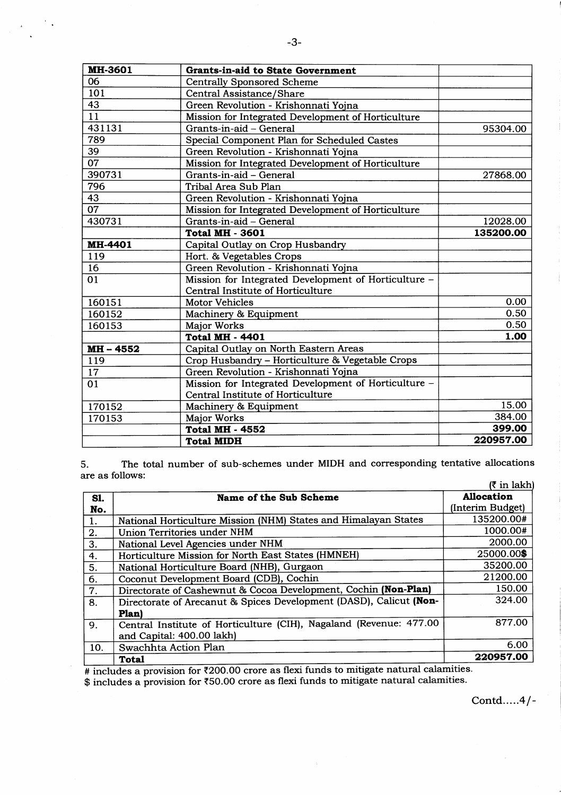| <b>MH-3601</b>  | <b>Grants-in-aid to State Government</b>             |           |
|-----------------|------------------------------------------------------|-----------|
| 06              | <b>Centrally Sponsored Scheme</b>                    |           |
| 101             | Central Assistance/Share                             |           |
| 43              | Green Revolution - Krishonnati Yojna                 |           |
| 11              | Mission for Integrated Development of Horticulture   |           |
| 431131          | Grants-in-aid - General                              | 95304.00  |
| 789             | Special Component Plan for Scheduled Castes          |           |
| 39              | Green Revolution - Krishonnati Yojna                 |           |
| 07              | Mission for Integrated Development of Horticulture   |           |
| 390731          | Grants-in-aid - General                              | 27868.00  |
| 796             | Tribal Area Sub Plan                                 |           |
| 43              | Green Revolution - Krishonnati Yojna                 |           |
| $\overline{07}$ | Mission for Integrated Development of Horticulture   |           |
| 430731          | Grants-in-aid - General                              | 12028.00  |
|                 | <b>Total MH - 3601</b>                               | 135200.00 |
| MH-4401         | Capital Outlay on Crop Husbandry                     |           |
| 119             | Hort. & Vegetables Crops                             |           |
| 16              | Green Revolution - Krishonnati Yojna                 |           |
| 01              | Mission for Integrated Development of Horticulture - |           |
|                 | Central Institute of Horticulture                    |           |
| 160151          | <b>Motor Vehicles</b>                                | 0.00      |
| 160152          | Machinery & Equipment                                | 0.50      |
| 160153          | <b>Major Works</b>                                   | 0.50      |
|                 | <b>Total MH - 4401</b>                               | 1.00      |
| MH - 4552       | Capital Outlay on North Eastern Areas                |           |
| 119             | Crop Husbandry - Horticulture & Vegetable Crops      |           |
| 17              | Green Revolution - Krishonnati Yojna                 |           |
| 01              | Mission for Integrated Development of Horticulture - |           |
|                 | Central Institute of Horticulture                    |           |
| 170152          | Machinery & Equipment                                | 15.00     |
| 170153          | Major Works                                          | 384.00    |
|                 | <b>Total MH - 4552</b>                               | 399.00    |
|                 | <b>Total MIDH</b>                                    | 220957.00 |

The total number of sub-schemes under MIDH and corresponding tentative allocations 5. are as follows:  $(7 \in \mathbb{R}^2)$ 

|            |                                                                    | $\overline{\phantom{a}}$ |
|------------|--------------------------------------------------------------------|--------------------------|
| <b>S1.</b> | Name of the Sub Scheme                                             | <b>Allocation</b>        |
| No.        |                                                                    | (Interim Budget)         |
| 1.         | National Horticulture Mission (NHM) States and Himalayan States    | 135200.00#               |
| 2.         | Union Territories under NHM                                        | 1000.00#                 |
| 3.         | National Level Agencies under NHM                                  | 2000.00                  |
| 4.         | Horticulture Mission for North East States (HMNEH)                 | 25000.00\$               |
| 5.         | National Horticulture Board (NHB), Gurgaon                         | 35200.00                 |
| 6.         | Coconut Development Board (CDB), Cochin                            | 21200.00                 |
| 7.         | Directorate of Cashewnut & Cocoa Development, Cochin (Non-Plan)    | 150.00                   |
| 8.         | Directorate of Arecanut & Spices Development (DASD), Calicut (Non- | 324.00                   |
|            | <b>Plan</b>                                                        |                          |
| 9.         | Central Institute of Horticulture (CIH), Nagaland (Revenue: 477.00 | 877.00                   |
|            | and Capital: 400.00 lakh)                                          |                          |
| 10.        | Swachhta Action Plan                                               | 6.00                     |
|            | Total                                                              | 220957.00                |

 $\bar{z}$ 

# includes a provision for ₹200.00 crore as flexi funds to mitigate natural calamities.<br>\$ includes a provision for ₹50.00 crore as flexi funds to mitigate natural calamities.

Contd..... $4/-$ 

 $\frac{1}{2}$  .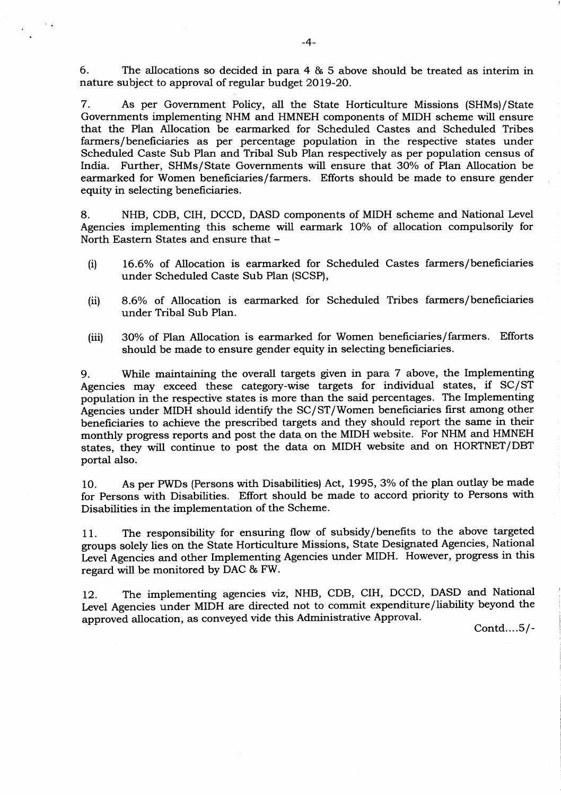6. The allocations so decided in para 4 & 5 above should be treated as interim in nature subject to approval of regular budget 2O19-20.

7. As per Government Policy, all the State Horticulture Missions (SHMs)/State Governments implementing NHM and HMNEH components of MIDH scheme will ensure that the Plan Allocation be earmarked for Scheduled Castes and Scheduled Tribes farmers/beneficiaries as per percentage population in the respective states under Scheduled Caste Sub Plan and Tribal Sub Plan respectively as per population census of India. Further, SHMs/State Governments will ensure that 30% of Plan Allocation be Further, SHMs/State Governments will ensure that 30% of Plan Allocation be earmarked for Women beneficiaries/farmers, Efforts should be made to ensure gender equity in selecting beneficiaries.

8. NHB, CDB, CIH, DCCD, DASD components of MIDH scheme and National Level Agencies implementing this scheme will earmark 10% of allocation compulsorily for North Eastern States and ensure that -

- (i) l6.6Vo of Allocation is earmarked for Scheduled Castes farmers/beneficiaries under Scheduled Caste Sub Plan (SCSP),
- (ii) 8.6% of Allocation is earmarked for Scheduled Tribes farmers/beneficiaries under Tribal Sub Plan.
- (iii) 30% of Plan Allocation is earmarked for Women beneficiaries/farmers. Efforts should be made to ensure gender equity in selecting beneficiaries.

9. While maintaining the overall targets given in para 7 above, the Implementing Agencies may exceed these category-wise targets for individual states, if SC/ST population in the respective states is more than the said percentages. The Implementing Agencies under MIDH should identify the SC/ST/Women beneficiaries first among other beneficiaries to achieve the prescribed targets and they should report the same in their monthly progress reports and post the data on the MIDH website. For NHM and HMNEH states, they will continue to post the data on MIDH website and on HORTNET/DBT portal also.

lO. As per PWDs (Persons with Disabilities) Act, 1995, 3% of the plan outlay be made for Persons with Disabilities. Effort should be made to accord priority to Persons with Disabilities in the implementation of the Scheme.

11. The responsibility for ensuring flow of subsidy/benefits to the above targeted groups solely lies on the State Horticulture Missions, State Designated Agencies, National Level Agencies and other Implementing Agencies under MIDH. However, progress in this regard will be monitored by DAC & FW.

12. The implementing agencies viz, NHB, CDB, CIH, DCCD, DASD and National Level Agencies under MIDH are directed not to commit expenditure /liability beyond the approved allocation, as conveyed vide this Adrninistrative Approval.

Contd....5/-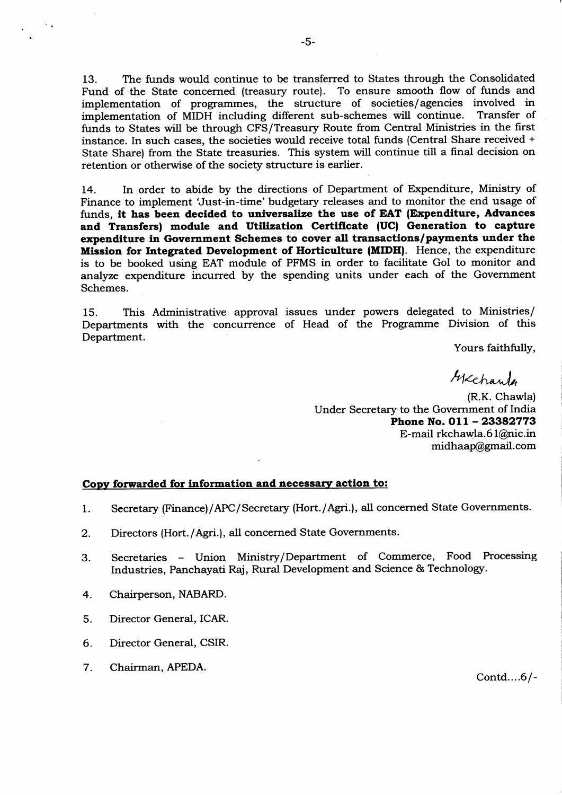13. The funds would continue to be transferred to States through the Consotdated Fund of the State concerned (treasury route). To ensure smooth flow of funds and implementation of programmes, the structure of societies/agencies involved in implementation of MIDH including different sub-schemes will continue. funds to States will be through CFS/Treasury Route from Central Ministries in the first instance. In such cases, the societies would receive total funds (Central Share received <sup>+</sup> State Share) from the State treasuries. This system will continue till a final decision on retention or otherwise of the society structure is earlier.

14. In order to abide by the directions of Department of Expenditure, Ministry of Finance to implement 'Just-in-time' budgetary releases and to monitor the end usage of funds, it has been decided to universalize the use of EAT (Expenditure, Advances and Transfers) module and Utilization Certificate (UC) Generation to capture expenditure in Government Schemes to cover all transactions/payments under the Mission for Integrated Development of Horticulture (MIDH). Hence, the expenditure is to be booked using EAT module of PFMS in order to facilitate GoI to monitor and analyze expenditure incurred by the spending units under each of the Government Schemes.

f5. This Administrative approval issues under powers delegated to Ministries/ Departments with the concurrence of Head of the Programme Division of this Department.

Yours faithfully,

 $thxchande$ 

(R.K. Chawla) Under Secretary to the Government of India Phone No.  $011 - 23382773$ E-mail rkchawta.6 l@nic.in midhaap@gmail.com

## Copy forwarded for information and necessary action to:

- Secretary (Finance)/APC/ Secretary (Hort./Agri.), all concerned State Governments. I
- Directors (Hort./Agri.), all concerned State Governments. 2
- Secretaries Union Ministry/Department of Commerce, Food Processing Industries, Panchayati Raj, Rural Development and Science & Technology. 3.
- Chairperson, NABARD. 4
- Director General, ICAR. 5
- Director General, CSIR. 6
- Chairman, APEDA. 7

contd....6/-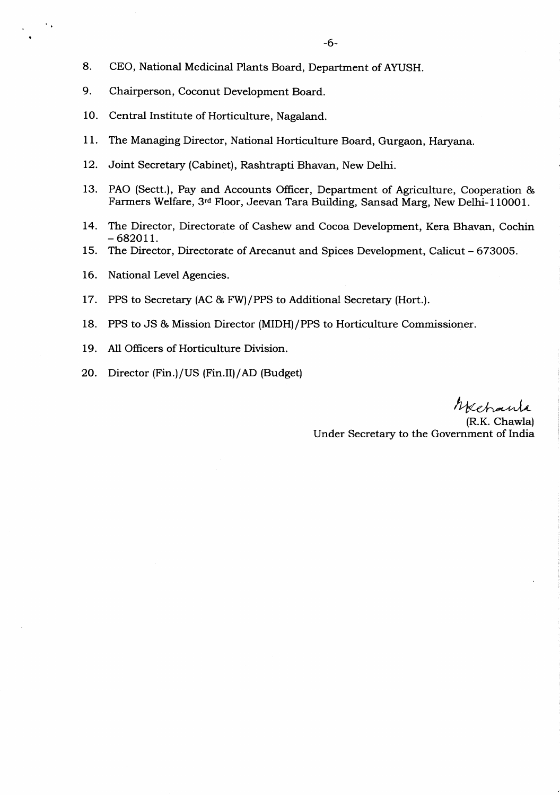- 8. CEO, National Medicinal Plants Board, Department of AYUSH.
- 9. Chairperson, Coconut Development Board.
- 10. Central Institute of Horticulture, Nagaland.
- <sup>I</sup>l. The Managing Director, National Horticulture Board, Gurgaon, Haryana.
- 12. Joint Secretary (Cabinet), Rashtrapti Bhavan, New Delhi.
- 13. PAO (Sectt.), Pay and Accounts Officer, Department of Agriculture, Cooperation & Farmers Welfare, 3rd Floor, Jeevan Tara Building, Sansad Marg, New Delhi-110OO1.
- 14. The Director, Directorate of Cashew and Cocoa Development, Kera Bhavan, Cochin  $-682011.$
- 15. The Director, Directorate of Arecanut and Spices Development, Calicut 673005.
- 16. National Level Agencies.
- 17. PPS to Secretary (AC & FW)/PPS to Additional Secretary (Hort.).
- 18. PPS to JS & Mission Director (MIDH)/PPS to Horticulture Commissioner.
- 19. All Officers of Horticulture Division.
- 20. Director (Fin.)/US (Fin.II)/AD (Budget)

Mehanta

(R.K. Chawla) Under Secretary to the Govemment of India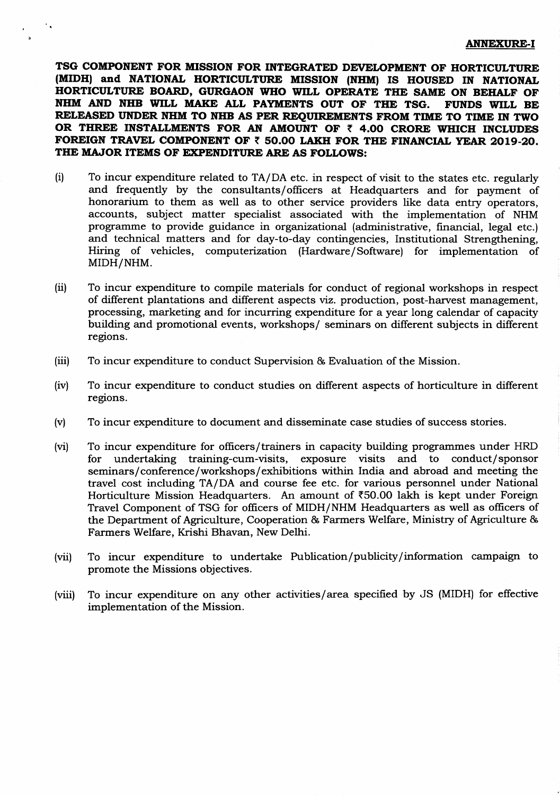## **ANNEXURE-I**

TSG COMPONENT FOR MISSION FOR INTEGRATED DEVELOPMENT OF HORTICULTURE (MIDH) and NATIONAL HORTICULTURE MISSION (NHM) IS HOUSED IN NATIONAL HORTICULTURE BOARD, GURGAON WHO WILL OPERATE THE SAME ON BEHALF OF NHM AND NHB WILL MAKE ALL PAYMENTS OUT OF THE TSG. **FUNDS WILL BE** RELEASED UNDER NHM TO NHB AS PER REQUIREMENTS FROM TIME TO TIME IN TWO OR THREE INSTALLMENTS FOR AN AMOUNT OF  $\bar{\tau}$  4.00 CRORE WHICH INCLUDES FOREIGN TRAVEL COMPONENT OF ₹ 50.00 LAKH FOR THE FINANCIAL YEAR 2019-20. THE MAJOR ITEMS OF EXPENDITURE ARE AS FOLLOWS:

- $(i)$ To incur expenditure related to TA/DA etc. in respect of visit to the states etc. regularly and frequently by the consultants/officers at Headquarters and for payment of honorarium to them as well as to other service providers like data entry operators, accounts, subject matter specialist associated with the implementation of NHM programme to provide guidance in organizational (administrative, financial, legal etc.) and technical matters and for day-to-day contingencies, Institutional Strengthening, Hiring of vehicles, computerization (Hardware/Software) for implementation of MIDH/NHM.
- To incur expenditure to compile materials for conduct of regional workshops in respect  $(ii)$ of different plantations and different aspects viz. production, post-harvest management, processing, marketing and for incurring expenditure for a year long calendar of capacity building and promotional events, workshops/ seminars on different subjects in different regions.
- $(iii)$ To incur expenditure to conduct Supervision & Evaluation of the Mission.
- $(iv)$ To incur expenditure to conduct studies on different aspects of horticulture in different regions.
- To incur expenditure to document and disseminate case studies of success stories.  $(v)$
- $(vi)$ To incur expenditure for officers/trainers in capacity building programmes under HRD for undertaking training-cum-visits, exposure visits and to conduct/sponsor seminars/conference/workshops/exhibitions within India and abroad and meeting the travel cost including TA/DA and course fee etc. for various personnel under National Horticulture Mission Headquarters. An amount of  $\bar{\tau}50.00$  lakh is kept under Foreign Travel Component of TSG for officers of MIDH/NHM Headquarters as well as officers of the Department of Agriculture, Cooperation & Farmers Welfare, Ministry of Agriculture & Farmers Welfare, Krishi Bhavan, New Delhi.
- To incur expenditure to undertake Publication/publicity/information campaign to  $(vii)$ promote the Missions objectives.
- To incur expenditure on any other activities/area specified by JS (MIDH) for effective  $(viii)$ implementation of the Mission.